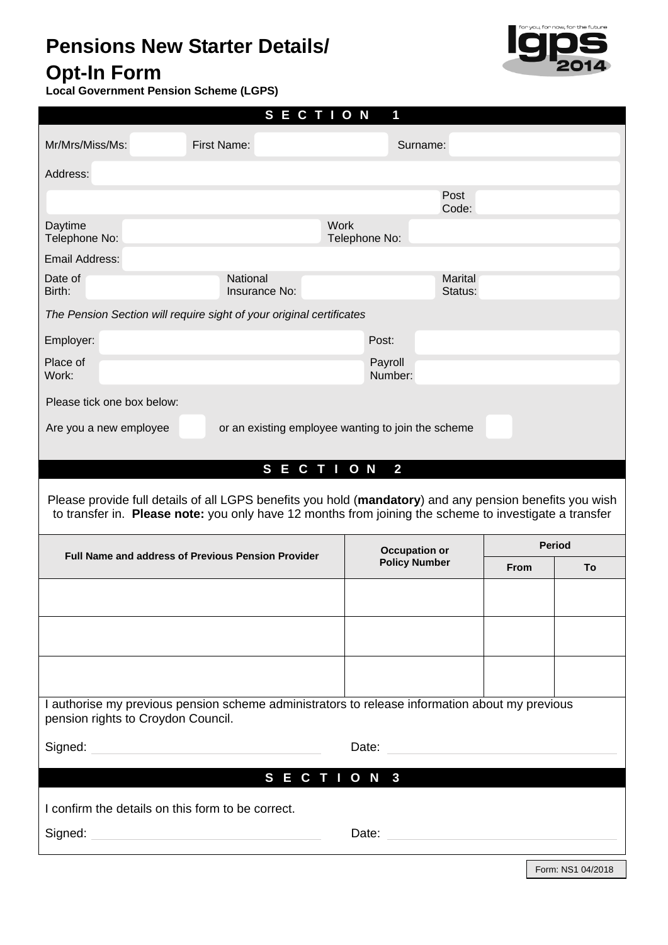# **Pensions New Starter Details/**



## **Opt-In Form**

**Local Government Pension Scheme (LGPS)**

| <b>SECTION</b><br>1                                                                                                                                                                                               |                           |                              |                      |             |               |  |  |  |
|-------------------------------------------------------------------------------------------------------------------------------------------------------------------------------------------------------------------|---------------------------|------------------------------|----------------------|-------------|---------------|--|--|--|
| Mr/Mrs/Miss/Ms:                                                                                                                                                                                                   | First Name:               |                              | Surname:             |             |               |  |  |  |
| Address:                                                                                                                                                                                                          |                           |                              |                      |             |               |  |  |  |
|                                                                                                                                                                                                                   |                           |                              | Post<br>Code:        |             |               |  |  |  |
| Daytime<br>Telephone No:                                                                                                                                                                                          |                           | <b>Work</b><br>Telephone No: |                      |             |               |  |  |  |
| Email Address:                                                                                                                                                                                                    |                           |                              |                      |             |               |  |  |  |
| Date of<br>Birth:                                                                                                                                                                                                 | National<br>Insurance No: |                              | Marital<br>Status:   |             |               |  |  |  |
| The Pension Section will require sight of your original certificates                                                                                                                                              |                           |                              |                      |             |               |  |  |  |
| Employer:                                                                                                                                                                                                         |                           | Post:                        |                      |             |               |  |  |  |
| Place of<br>Work:                                                                                                                                                                                                 |                           | Payroll<br>Number:           |                      |             |               |  |  |  |
| Please tick one box below:                                                                                                                                                                                        |                           |                              |                      |             |               |  |  |  |
| Are you a new employee<br>or an existing employee wanting to join the scheme                                                                                                                                      |                           |                              |                      |             |               |  |  |  |
|                                                                                                                                                                                                                   | <b>SECTION</b>            |                              | $\overline{2}$       |             |               |  |  |  |
| Please provide full details of all LGPS benefits you hold (mandatory) and any pension benefits you wish<br>to transfer in. Please note: you only have 12 months from joining the scheme to investigate a transfer |                           |                              |                      |             |               |  |  |  |
| Full Name and address of Previous Pension Provider                                                                                                                                                                |                           |                              |                      |             |               |  |  |  |
|                                                                                                                                                                                                                   |                           |                              | <b>Occupation or</b> |             | <b>Period</b> |  |  |  |
|                                                                                                                                                                                                                   |                           |                              | <b>Policy Number</b> | <b>From</b> | To            |  |  |  |
|                                                                                                                                                                                                                   |                           |                              |                      |             |               |  |  |  |
|                                                                                                                                                                                                                   |                           |                              |                      |             |               |  |  |  |
|                                                                                                                                                                                                                   |                           |                              |                      |             |               |  |  |  |
| I authorise my previous pension scheme administrators to release information about my previous                                                                                                                    |                           |                              |                      |             |               |  |  |  |
| pension rights to Croydon Council.                                                                                                                                                                                |                           |                              |                      |             |               |  |  |  |
| Signed:                                                                                                                                                                                                           |                           | Date:                        |                      |             |               |  |  |  |
|                                                                                                                                                                                                                   | <b>SECTION</b>            |                              | $\mathbf{3}$         |             |               |  |  |  |
| I confirm the details on this form to be correct.<br>Signed:                                                                                                                                                      |                           | Date:                        |                      |             |               |  |  |  |

Form: NS1 04/2018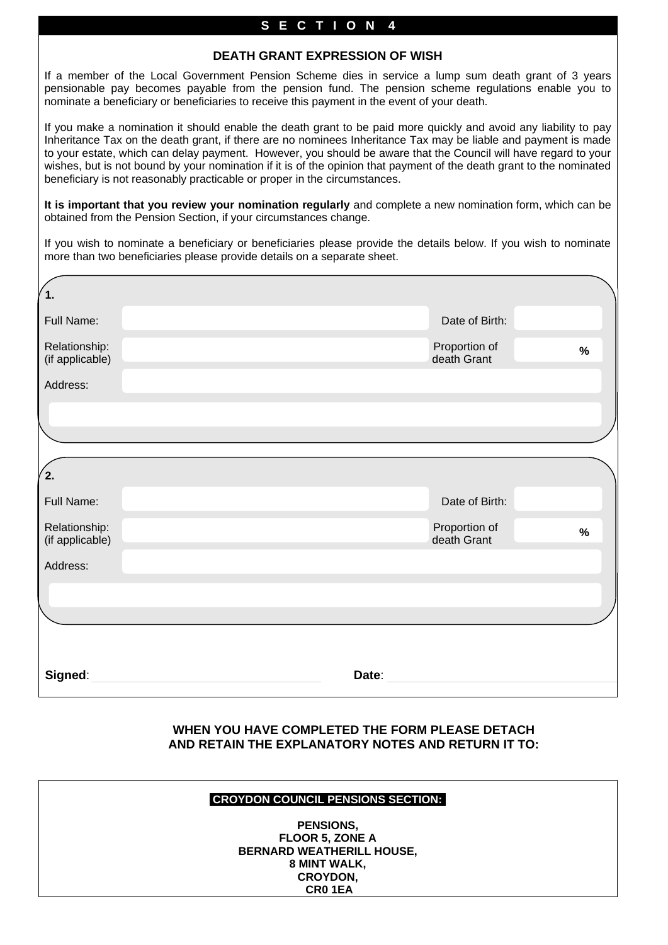#### **S E C T I O N 4**

#### **DEATH GRANT EXPRESSION OF WISH**

If a member of the Local Government Pension Scheme dies in service a lump sum death grant of 3 years pensionable pay becomes payable from the pension fund. The pension scheme regulations enable you to nominate a beneficiary or beneficiaries to receive this payment in the event of your death.

If you make a nomination it should enable the death grant to be paid more quickly and avoid any liability to pay Inheritance Tax on the death grant, if there are no nominees Inheritance Tax may be liable and payment is made to your estate, which can delay payment. However, you should be aware that the Council will have regard to your wishes, but is not bound by your nomination if it is of the opinion that payment of the death grant to the nominated beneficiary is not reasonably practicable or proper in the circumstances.

**It is important that you review your nomination regularly** and complete a new nomination form, which can be obtained from the Pension Section, if your circumstances change.

If you wish to nominate a beneficiary or beneficiaries please provide the details below. If you wish to nominate more than two beneficiaries please provide details on a separate sheet.

| 1.                               |       |                              |      |  |
|----------------------------------|-------|------------------------------|------|--|
| Full Name:                       |       | Date of Birth:               |      |  |
| Relationship:<br>(if applicable) |       | Proportion of<br>death Grant | $\%$ |  |
| Address:                         |       |                              |      |  |
|                                  |       |                              |      |  |
|                                  |       |                              |      |  |
| 2.                               |       |                              |      |  |
| Full Name:                       |       | Date of Birth:               |      |  |
| Relationship:<br>(if applicable) |       | Proportion of<br>death Grant | $\%$ |  |
| Address:                         |       |                              |      |  |
|                                  |       |                              |      |  |
|                                  |       |                              |      |  |
|                                  |       |                              |      |  |
| Signed:                          | Date: |                              |      |  |

#### **WHEN YOU HAVE COMPLETED THE FORM PLEASE DETACH AND RETAIN THE EXPLANATORY NOTES AND RETURN IT TO:**

#### **CROYDON COUNCIL PENSIONS SECTION::**

**PENSIONS, FLOOR 5, ZONE A BERNARD WEATHERILL HOUSE, 8 MINT WALK, CROYDON, CR0 1EA**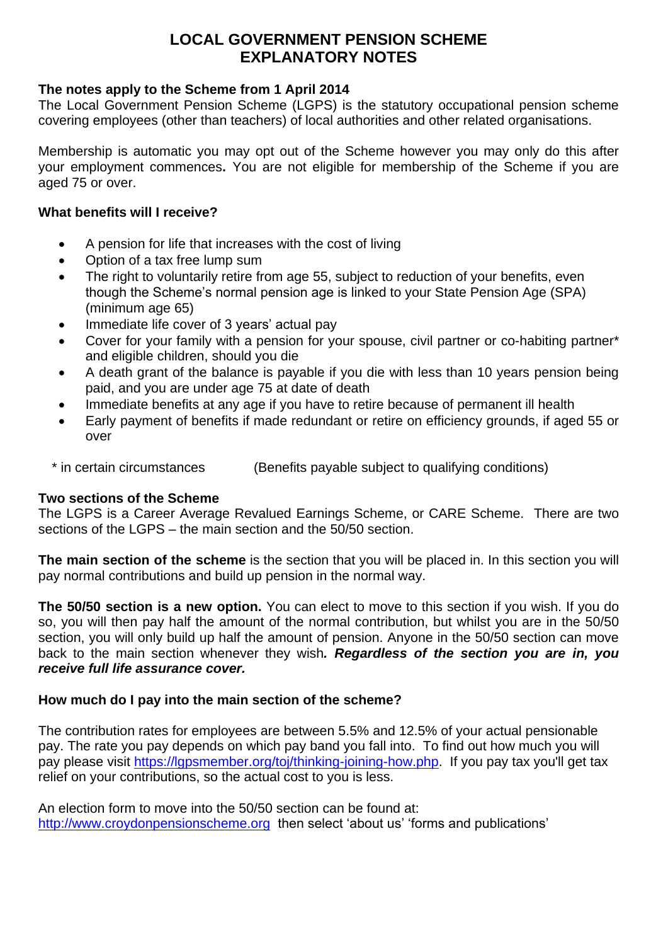### **LOCAL GOVERNMENT PENSION SCHEME EXPLANATORY NOTES**

#### **The notes apply to the Scheme from 1 April 2014**

The Local Government Pension Scheme (LGPS) is the statutory occupational pension scheme covering employees (other than teachers) of local authorities and other related organisations.

Membership is automatic you may opt out of the Scheme however you may only do this after your employment commences**.** You are not eligible for membership of the Scheme if you are aged 75 or over.

#### **What benefits will I receive?**

- A pension for life that increases with the cost of living
- Option of a tax free lump sum
- The right to voluntarily retire from age 55, subject to reduction of your benefits, even though the Scheme's normal pension age is linked to your State Pension Age (SPA) (minimum age 65)
- Immediate life cover of 3 years' actual pay
- Cover for your family with a pension for your spouse, civil partner or co-habiting partner\* and eligible children, should you die
- A death grant of the balance is payable if you die with less than 10 years pension being paid, and you are under age 75 at date of death
- Immediate benefits at any age if you have to retire because of permanent ill health
- Early payment of benefits if made redundant or retire on efficiency grounds, if aged 55 or over

\* in certain circumstances (Benefits payable subject to qualifying conditions)

#### **Two sections of the Scheme**

The LGPS is a Career Average Revalued Earnings Scheme, or CARE Scheme. There are two sections of the LGPS – the main section and the 50/50 section.

**The main section of the scheme** is the section that you will be placed in. In this section you will pay normal contributions and build up pension in the normal way.

**The 50/50 section is a new option.** You can elect to move to this section if you wish. If you do so, you will then pay half the amount of the normal contribution, but whilst you are in the 50/50 section, you will only build up half the amount of pension. Anyone in the 50/50 section can move back to the main section whenever they wish*. Regardless of the section you are in, you receive full life assurance cover.*

#### **How much do I pay into the main section of the scheme?**

The contribution rates for employees are between 5.5% and 12.5% of your actual pensionable pay. The rate you pay depends on which pay band you fall into. To find out how much you will pay please visit [https://lgpsmember.org/toj/thinking-joining-how.php.](https://lgpsmember.org/toj/thinking-joining-how.php) If you pay tax you'll get tax relief on your contributions, so the actual cost to you is less.

An election form to move into the 50/50 section can be found at: [http://www.croydonpensionscheme.org](http://www.croydonpensionscheme.org/) then select 'about us' 'forms and publications'